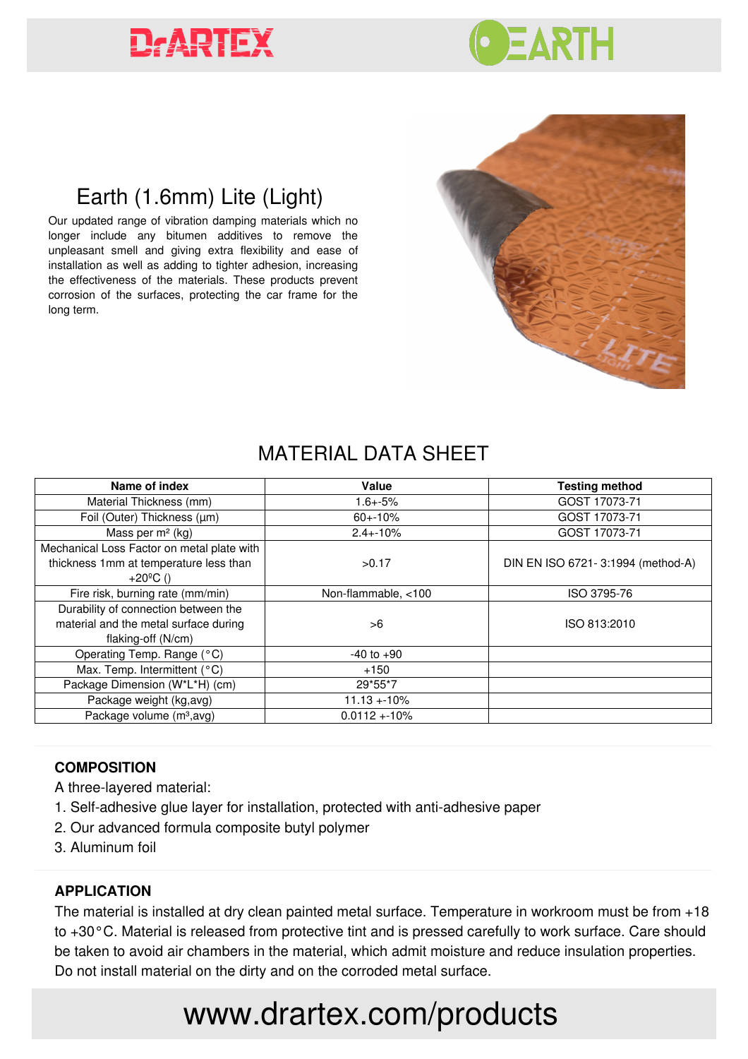# **DARTEX**



## Earth (1.6mm) Lite (Light)

Our updated range of vibration damping materials which no longer include any bitumen additives to remove the unpleasant smell and giving extra flexibility and ease of installation as well as adding to tighter adhesion, increasing the effectiveness of the materials. These products prevent corrosion of the surfaces, protecting the car frame for the long term.



### MATERIAL DATA SHEET

| Name of index                              | Value               | <b>Testing method</b>             |
|--------------------------------------------|---------------------|-----------------------------------|
| Material Thickness (mm)                    | $1.6 + -5%$         | GOST 17073-71                     |
| Foil (Outer) Thickness (µm)                | $60 + -10%$         | GOST 17073-71                     |
| Mass per $m2$ (kg)                         | $2.4 + -10%$        | GOST 17073-71                     |
| Mechanical Loss Factor on metal plate with |                     |                                   |
| thickness 1mm at temperature less than     | >0.17               | DIN EN ISO 6721-3:1994 (method-A) |
| +20 $^{\circ}$ C()                         |                     |                                   |
| Fire risk, burning rate (mm/min)           | Non-flammable, <100 | ISO 3795-76                       |
| Durability of connection between the       |                     |                                   |
| material and the metal surface during      | >6                  | ISO 813:2010                      |
| flaking-off (N/cm)                         |                     |                                   |
| Operating Temp. Range (°C)                 | $-40$ to $+90$      |                                   |
| Max. Temp. Intermittent (°C)               | $+150$              |                                   |
| Package Dimension (W*L*H) (cm)             | 29*55*7             |                                   |
| Package weight (kg,avg)                    | $11.13 + 10\%$      |                                   |
| Package volume (m <sup>3</sup> , avg)      | $0.0112 + 10\%$     |                                   |

#### **COMPOSITION**

A three-layered material:

- 1. Self-adhesive glue layer for installation, protected with anti-adhesive paper
- 2. Our advanced formula composite butyl polymer
- 3. Aluminum foil

#### **APPLICATION**

The material is installed at dry clean painted metal surface. Temperature in workroom must be from +18 to +30°С. Material is released from protective tint and is pressed carefully to work surface. Care should be taken to avoid air chambers in the material, which admit moisture and reduce insulation properties. Do not install material on the dirty and on the corroded metal surface.

## www.drartex.com/products